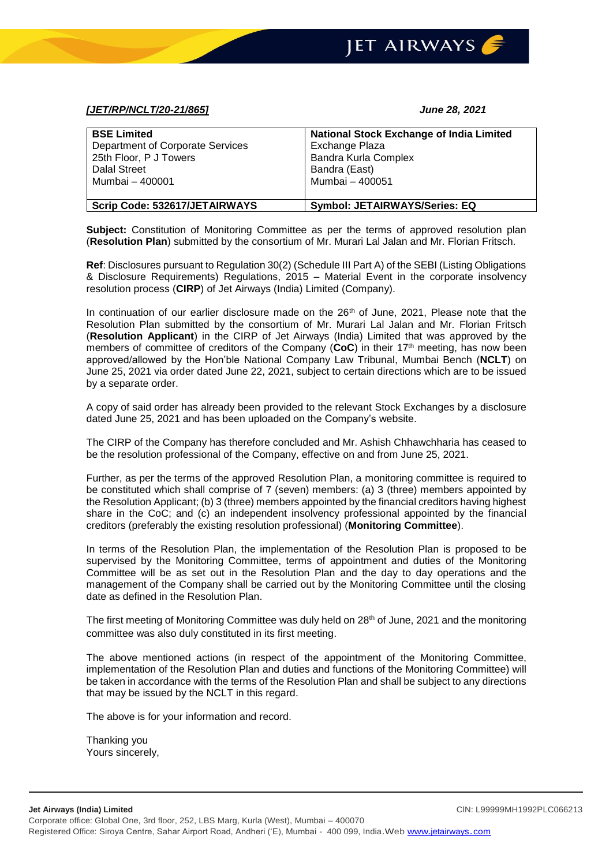

## *[JET/RP/NCLT/20-21/865] June 28, 2021*

| <b>BSE Limited</b>               | <b>National Stock Exchange of India Limited</b> |
|----------------------------------|-------------------------------------------------|
| Department of Corporate Services | Exchange Plaza                                  |
| 25th Floor, P J Towers           | <b>Bandra Kurla Complex</b>                     |
| <b>Dalal Street</b>              | Bandra (East)                                   |
| Mumbai - 400001                  | Mumbai - 400051                                 |
| Scrip Code: 532617/JETAIRWAYS    | <b>Symbol: JETAIRWAYS/Series: EQ</b>            |

**Subject:** Constitution of Monitoring Committee as per the terms of approved resolution plan (**Resolution Plan**) submitted by the consortium of Mr. Murari Lal Jalan and Mr. Florian Fritsch.

**Ref**: Disclosures pursuant to Regulation 30(2) (Schedule III Part A) of the SEBI (Listing Obligations & Disclosure Requirements) Regulations, 2015 – Material Event in the corporate insolvency resolution process (**CIRP**) of Jet Airways (India) Limited (Company).

In continuation of our earlier disclosure made on the  $26<sup>th</sup>$  of June, 2021, Please note that the Resolution Plan submitted by the consortium of Mr. Murari Lal Jalan and Mr. Florian Fritsch (**Resolution Applicant**) in the CIRP of Jet Airways (India) Limited that was approved by the members of committee of creditors of the Company (**CoC**) in their 17th meeting, has now been approved/allowed by the Hon'ble National Company Law Tribunal, Mumbai Bench (**NCLT**) on June 25, 2021 via order dated June 22, 2021, subject to certain directions which are to be issued by a separate order.

A copy of said order has already been provided to the relevant Stock Exchanges by a disclosure dated June 25, 2021 and has been uploaded on the Company's website.

The CIRP of the Company has therefore concluded and Mr. Ashish Chhawchharia has ceased to be the resolution professional of the Company, effective on and from June 25, 2021.

Further, as per the terms of the approved Resolution Plan, a monitoring committee is required to be constituted which shall comprise of 7 (seven) members: (a) 3 (three) members appointed by the Resolution Applicant; (b) 3 (three) members appointed by the financial creditors having highest share in the CoC; and (c) an independent insolvency professional appointed by the financial creditors (preferably the existing resolution professional) (**Monitoring Committee**).

In terms of the Resolution Plan, the implementation of the Resolution Plan is proposed to be supervised by the Monitoring Committee, terms of appointment and duties of the Monitoring Committee will be as set out in the Resolution Plan and the day to day operations and the management of the Company shall be carried out by the Monitoring Committee until the closing date as defined in the Resolution Plan.

The first meeting of Monitoring Committee was duly held on 28<sup>th</sup> of June, 2021 and the monitoring committee was also duly constituted in its first meeting.

The above mentioned actions (in respect of the appointment of the Monitoring Committee, implementation of the Resolution Plan and duties and functions of the Monitoring Committee) will be taken in accordance with the terms of the Resolution Plan and shall be subject to any directions that may be issued by the NCLT in this regard.

The above is for your information and record.

Thanking you Yours sincerely,